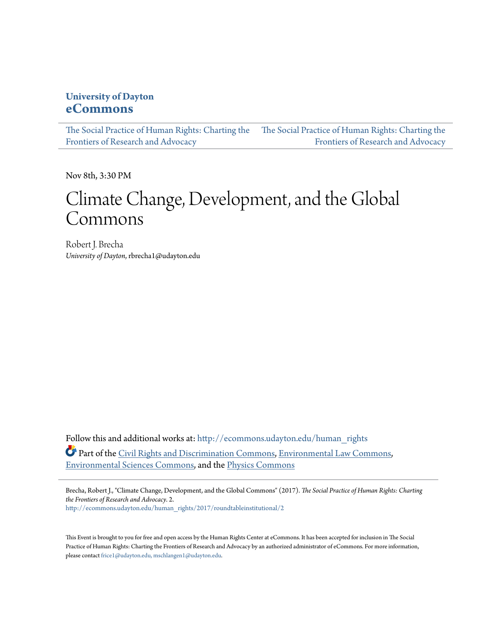### **University of Dayton [eCommons](http://ecommons.udayton.edu?utm_source=ecommons.udayton.edu%2Fhuman_rights%2F2017%2Froundtableinstitutional%2F2&utm_medium=PDF&utm_campaign=PDFCoverPages)**

[The Social Practice of Human Rights: Charting the](http://ecommons.udayton.edu/human_rights?utm_source=ecommons.udayton.edu%2Fhuman_rights%2F2017%2Froundtableinstitutional%2F2&utm_medium=PDF&utm_campaign=PDFCoverPages) [The Social Practice of Human Rights: Charting the](http://ecommons.udayton.edu/human_rights/2017?utm_source=ecommons.udayton.edu%2Fhuman_rights%2F2017%2Froundtableinstitutional%2F2&utm_medium=PDF&utm_campaign=PDFCoverPages) [Frontiers of Research and Advocacy](http://ecommons.udayton.edu/human_rights?utm_source=ecommons.udayton.edu%2Fhuman_rights%2F2017%2Froundtableinstitutional%2F2&utm_medium=PDF&utm_campaign=PDFCoverPages) [Frontiers of Research and Advocacy](http://ecommons.udayton.edu/human_rights/2017?utm_source=ecommons.udayton.edu%2Fhuman_rights%2F2017%2Froundtableinstitutional%2F2&utm_medium=PDF&utm_campaign=PDFCoverPages)

Nov 8th, 3:30 PM

# Climate Change, Development, and the Global Commons

Robert J. Brecha *University of Dayton*, rbrecha1@udayton.edu

Follow this and additional works at: [http://ecommons.udayton.edu/human\\_rights](http://ecommons.udayton.edu/human_rights?utm_source=ecommons.udayton.edu%2Fhuman_rights%2F2017%2Froundtableinstitutional%2F2&utm_medium=PDF&utm_campaign=PDFCoverPages) Part of the [Civil Rights and Discrimination Commons,](http://network.bepress.com/hgg/discipline/585?utm_source=ecommons.udayton.edu%2Fhuman_rights%2F2017%2Froundtableinstitutional%2F2&utm_medium=PDF&utm_campaign=PDFCoverPages) [Environmental Law Commons](http://network.bepress.com/hgg/discipline/599?utm_source=ecommons.udayton.edu%2Fhuman_rights%2F2017%2Froundtableinstitutional%2F2&utm_medium=PDF&utm_campaign=PDFCoverPages), [Environmental Sciences Commons](http://network.bepress.com/hgg/discipline/167?utm_source=ecommons.udayton.edu%2Fhuman_rights%2F2017%2Froundtableinstitutional%2F2&utm_medium=PDF&utm_campaign=PDFCoverPages), and the [Physics Commons](http://network.bepress.com/hgg/discipline/193?utm_source=ecommons.udayton.edu%2Fhuman_rights%2F2017%2Froundtableinstitutional%2F2&utm_medium=PDF&utm_campaign=PDFCoverPages)

Brecha, Robert J., "Climate Change, Development, and the Global Commons" (2017). *The Social Practice of Human Rights: Charting the Frontiers of Research and Advocacy*. 2. [http://ecommons.udayton.edu/human\\_rights/2017/roundtableinstitutional/2](http://ecommons.udayton.edu/human_rights/2017/roundtableinstitutional/2?utm_source=ecommons.udayton.edu%2Fhuman_rights%2F2017%2Froundtableinstitutional%2F2&utm_medium=PDF&utm_campaign=PDFCoverPages)

This Event is brought to you for free and open access by the Human Rights Center at eCommons. It has been accepted for inclusion in The Social Practice of Human Rights: Charting the Frontiers of Research and Advocacy by an authorized administrator of eCommons. For more information, please contact [frice1@udayton.edu, mschlangen1@udayton.edu.](mailto:frice1@udayton.edu,%20mschlangen1@udayton.edu)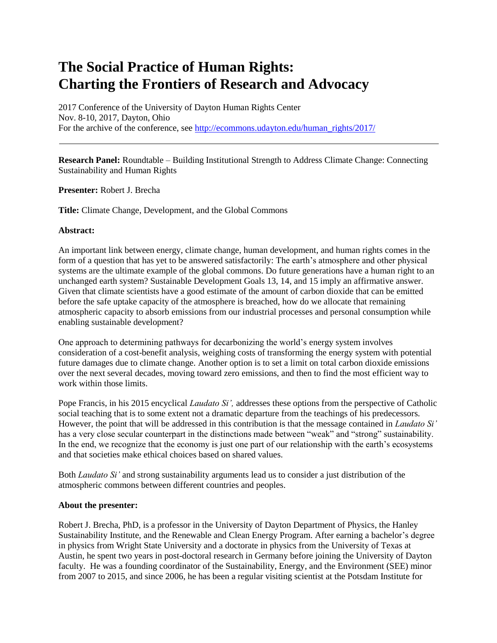## **The Social Practice of Human Rights: Charting the Frontiers of Research and Advocacy**

2017 Conference of the University of Dayton Human Rights Center Nov. 8-10, 2017, Dayton, Ohio For the archive of the conference, see [http://ecommons.udayton.edu/human\\_rights/2017/](http://ecommons.udayton.edu/human_rights/2017/)

**Research Panel:** Roundtable – Building Institutional Strength to Address Climate Change: Connecting Sustainability and Human Rights

**Presenter:** Robert J. Brecha

**Title:** Climate Change, Development, and the Global Commons

### **Abstract:**

An important link between energy, climate change, human development, and human rights comes in the form of a question that has yet to be answered satisfactorily: The earth's atmosphere and other physical systems are the ultimate example of the global commons. Do future generations have a human right to an unchanged earth system? Sustainable Development Goals 13, 14, and 15 imply an affirmative answer. Given that climate scientists have a good estimate of the amount of carbon dioxide that can be emitted before the safe uptake capacity of the atmosphere is breached, how do we allocate that remaining atmospheric capacity to absorb emissions from our industrial processes and personal consumption while enabling sustainable development?

One approach to determining pathways for decarbonizing the world's energy system involves consideration of a cost-benefit analysis, weighing costs of transforming the energy system with potential future damages due to climate change. Another option is to set a limit on total carbon dioxide emissions over the next several decades, moving toward zero emissions, and then to find the most efficient way to work within those limits.

Pope Francis, in his 2015 encyclical *Laudato Si',* addresses these options from the perspective of Catholic social teaching that is to some extent not a dramatic departure from the teachings of his predecessors. However, the point that will be addressed in this contribution is that the message contained in *Laudato Si'*  has a very close secular counterpart in the distinctions made between "weak" and "strong" sustainability. In the end, we recognize that the economy is just one part of our relationship with the earth's ecosystems and that societies make ethical choices based on shared values.

Both *Laudato Si'* and strong sustainability arguments lead us to consider a just distribution of the atmospheric commons between different countries and peoples.

#### **About the presenter:**

Robert J. Brecha, PhD, is a professor in the University of Dayton Department of Physics, the Hanley Sustainability Institute, and the Renewable and Clean Energy Program. After earning a bachelor's degree in physics from Wright State University and a doctorate in physics from the University of Texas at Austin, he spent two years in post-doctoral research in Germany before joining the University of Dayton faculty. He was a founding coordinator of the Sustainability, Energy, and the Environment (SEE) minor from 2007 to 2015, and since 2006, he has been a regular visiting scientist at the Potsdam Institute for